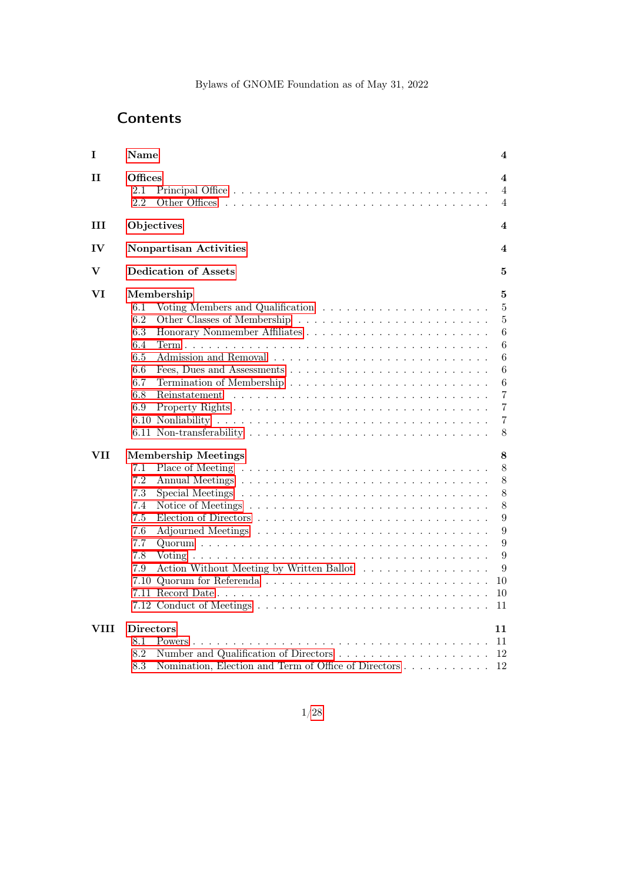# **Contents**

| $\mathbf I$ | <b>Name</b>                                                                                                                                                                                                                                         | 4                                                                                                                                 |
|-------------|-----------------------------------------------------------------------------------------------------------------------------------------------------------------------------------------------------------------------------------------------------|-----------------------------------------------------------------------------------------------------------------------------------|
| 11          | Offices<br>2.1<br>2.2                                                                                                                                                                                                                               | 4<br>$\overline{4}$<br>4                                                                                                          |
| Ш           | Objectives                                                                                                                                                                                                                                          | 4                                                                                                                                 |
| IV          | Nonpartisan Activities                                                                                                                                                                                                                              | $\overline{\mathbf{4}}$                                                                                                           |
| V           | <b>Dedication of Assets</b>                                                                                                                                                                                                                         | 5                                                                                                                                 |
| VI          | Membership<br>6.1<br>6.2<br>6.3<br>6.4<br>6.5<br>6.6<br>6.7<br>6.8<br>6.9                                                                                                                                                                           | 5<br>$\bf 5$<br>$\bf 5$<br>$\boldsymbol{6}$<br>$\boldsymbol{6}$<br>6<br>$6\phantom{.}6$<br>6<br>$\,7$<br>$\overline{7}$<br>7<br>8 |
| VII         | <b>Membership Meetings</b><br>7.1<br>7.2<br>7.3<br>Special Meetings $\dots \dots \dots \dots \dots \dots \dots \dots \dots \dots \dots$<br>7.4<br>7.5<br>7.6<br>Adjourned Meetings<br>7.7<br>7.8<br>Action Without Meeting by Written Ballot<br>7.9 | 8<br>8<br>8<br>8<br>8<br>$\boldsymbol{9}$<br>9<br>9<br>9<br>9<br>10<br>10<br>11                                                   |
| VIII        | <b>Directors</b><br>8.1<br>Powers.<br>8.2<br>8.3<br>Nomination, Election and Term of Office of Directors                                                                                                                                            | 11<br>11<br>12<br>12                                                                                                              |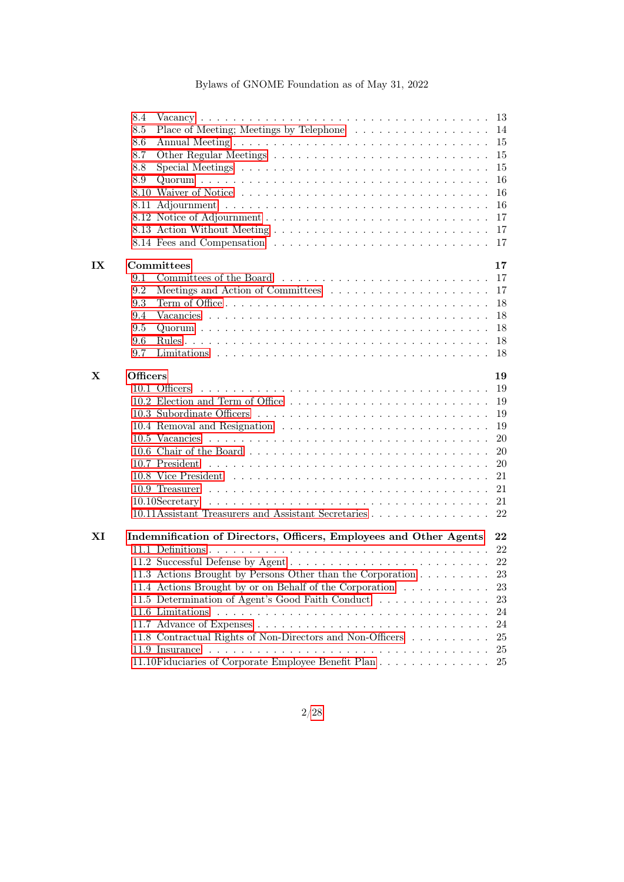|             | 8.4             |                                                                                          |           |
|-------------|-----------------|------------------------------------------------------------------------------------------|-----------|
|             | 8.5             | Place of Meeting; Meetings by Telephone 14                                               |           |
|             | 8.6             | Annual Meeting                                                                           | 15        |
|             | 8.7             |                                                                                          | 15        |
|             | 8.8             | Special Meetings $\ldots \ldots \ldots \ldots \ldots \ldots \ldots \ldots \ldots \ldots$ | 15        |
|             | 8.9             |                                                                                          | 16        |
|             |                 |                                                                                          | 16        |
|             |                 |                                                                                          | 16        |
|             |                 |                                                                                          | 17        |
|             |                 |                                                                                          |           |
|             |                 |                                                                                          |           |
| IX          |                 | Committees                                                                               | 17        |
|             | 9.1             |                                                                                          |           |
|             | 9.2             |                                                                                          | 17        |
|             | 9.3             |                                                                                          | 18        |
|             | 9.4             |                                                                                          | 18        |
|             | 9.5             |                                                                                          | 18        |
|             | 9.6             |                                                                                          |           |
|             | 9.7             |                                                                                          | 18        |
| $\mathbf X$ | <b>Officers</b> |                                                                                          | 19        |
|             |                 | 10.1 Officers                                                                            | 19        |
|             |                 | 10.2 Election and Term of Office                                                         | -19       |
|             |                 |                                                                                          | 19        |
|             |                 |                                                                                          | 19        |
|             |                 |                                                                                          | 20        |
|             |                 |                                                                                          | <b>20</b> |
|             |                 |                                                                                          | <b>20</b> |
|             |                 |                                                                                          | 21        |
|             |                 |                                                                                          |           |
|             |                 |                                                                                          |           |
|             |                 | 10.11 Assistant Treasurers and Assistant Secretaries 22                                  |           |
| XI          |                 | Indemnification of Directors, Officers, Employees and Other Agents                       | 22        |
|             |                 |                                                                                          | 22        |
|             |                 |                                                                                          |           |
|             |                 | 11.3 Actions Brought by Persons Other than the Corporation 23                            |           |
|             |                 | 11.4 Actions Brought by or on Behalf of the Corporation                                  | 23        |
|             |                 | 11.5 Determination of Agent's Good Faith Conduct                                         | 23        |
|             |                 | 11.6 Limitations                                                                         | 24        |
|             |                 |                                                                                          | 24        |
|             |                 | 11.8 Contractual Rights of Non-Directors and Non-Officers                                | 25        |
|             |                 |                                                                                          | 25        |
|             |                 | 11.10<br>Fiduciaries of Corporate Employee Benefit Plan                                  | 25        |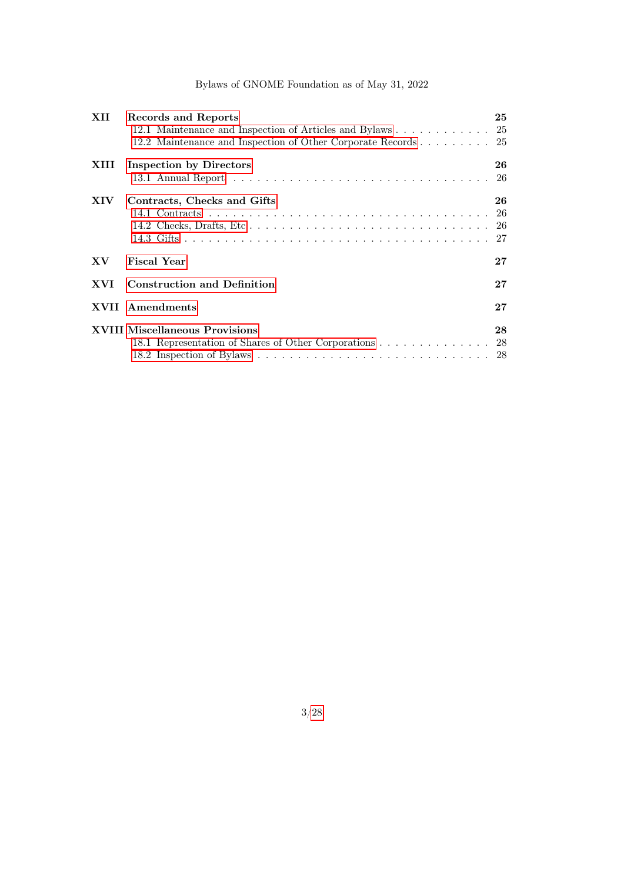| XII                     | Records and Reports                                           | 25 |  |
|-------------------------|---------------------------------------------------------------|----|--|
|                         | 12.1 Maintenance and Inspection of Articles and Bylaws 25     |    |  |
|                         | 12.2 Maintenance and Inspection of Other Corporate Records 25 |    |  |
| XIII                    | <b>Inspection by Directors</b>                                | 26 |  |
|                         |                                                               | 26 |  |
| XIV                     | Contracts, Checks and Gifts                                   | 26 |  |
|                         |                                                               |    |  |
|                         |                                                               |    |  |
|                         |                                                               |    |  |
| $\mathbf{X} \mathbf{V}$ | <b>Fiscal Year</b>                                            | 27 |  |
| <b>XVI</b>              | <b>Construction and Definition</b>                            | 27 |  |
|                         | <b>XVII</b> Amendments                                        | 27 |  |
|                         | <b>XVIII Miscellaneous Provisions</b>                         |    |  |
|                         | 18.1 Representation of Shares of Other Corporations 28        |    |  |
|                         |                                                               |    |  |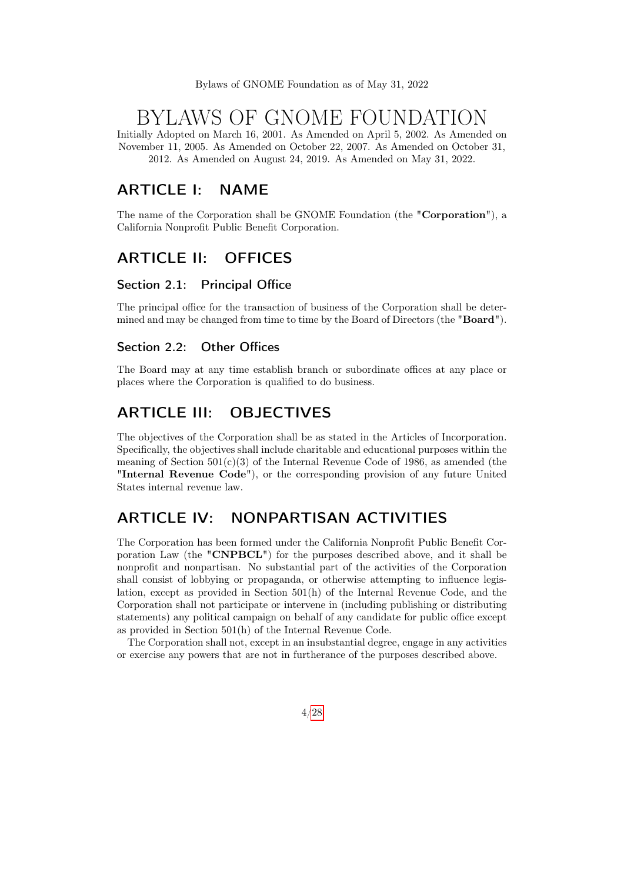# BYLAWS OF GNOME FOUNDATION

Initially Adopted on March 16, 2001. As Amended on April 5, 2002. As Amended on November 11, 2005. As Amended on October 22, 2007. As Amended on October 31, 2012. As Amended on August 24, 2019. As Amended on May 31, 2022.

# <span id="page-3-0"></span>ARTICLE I: NAME

The name of the Corporation shall be GNOME Foundation (the "Corporation"), a California Nonprofit Public Benefit Corporation.

# <span id="page-3-1"></span>ARTICLE II: OFFICES

#### <span id="page-3-2"></span>Section 2.1: Principal Office

The principal office for the transaction of business of the Corporation shall be determined and may be changed from time to time by the Board of Directors (the "Board").

#### <span id="page-3-3"></span>Section 2.2: Other Offices

The Board may at any time establish branch or subordinate offices at any place or places where the Corporation is qualified to do business.

# <span id="page-3-4"></span>ARTICLE III: OBJECTIVES

The objectives of the Corporation shall be as stated in the Articles of Incorporation. Specifically, the objectives shall include charitable and educational purposes within the meaning of Section  $501(c)(3)$  of the Internal Revenue Code of 1986, as amended (the "Internal Revenue Code"), or the corresponding provision of any future United States internal revenue law.

# <span id="page-3-5"></span>ARTICLE IV: NONPARTISAN ACTIVITIES

The Corporation has been formed under the California Nonprofit Public Benefit Corporation Law (the "CNPBCL") for the purposes described above, and it shall be nonprofit and nonpartisan. No substantial part of the activities of the Corporation shall consist of lobbying or propaganda, or otherwise attempting to influence legislation, except as provided in Section 501(h) of the Internal Revenue Code, and the Corporation shall not participate or intervene in (including publishing or distributing statements) any political campaign on behalf of any candidate for public office except as provided in Section 501(h) of the Internal Revenue Code.

<span id="page-3-6"></span>The Corporation shall not, except in an insubstantial degree, engage in any activities or exercise any powers that are not in furtherance of the purposes described above.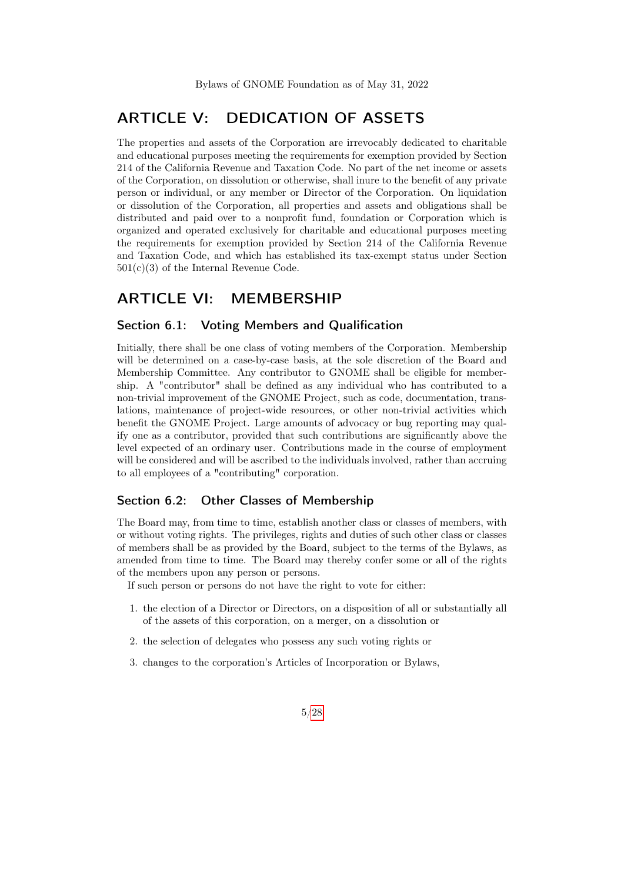# ARTICLE V: DEDICATION OF ASSETS

The properties and assets of the Corporation are irrevocably dedicated to charitable and educational purposes meeting the requirements for exemption provided by Section 214 of the California Revenue and Taxation Code. No part of the net income or assets of the Corporation, on dissolution or otherwise, shall inure to the benefit of any private person or individual, or any member or Director of the Corporation. On liquidation or dissolution of the Corporation, all properties and assets and obligations shall be distributed and paid over to a nonprofit fund, foundation or Corporation which is organized and operated exclusively for charitable and educational purposes meeting the requirements for exemption provided by Section 214 of the California Revenue and Taxation Code, and which has established its tax-exempt status under Section  $501(c)(3)$  of the Internal Revenue Code.

## <span id="page-4-0"></span>ARTICLE VI: MEMBERSHIP

#### <span id="page-4-1"></span>Section 6.1: Voting Members and Qualification

Initially, there shall be one class of voting members of the Corporation. Membership will be determined on a case-by-case basis, at the sole discretion of the Board and Membership Committee. Any contributor to GNOME shall be eligible for membership. A "contributor" shall be defined as any individual who has contributed to a non-trivial improvement of the GNOME Project, such as code, documentation, translations, maintenance of project-wide resources, or other non-trivial activities which benefit the GNOME Project. Large amounts of advocacy or bug reporting may qualify one as a contributor, provided that such contributions are significantly above the level expected of an ordinary user. Contributions made in the course of employment will be considered and will be ascribed to the individuals involved, rather than accruing to all employees of a "contributing" corporation.

### <span id="page-4-2"></span>Section 6.2: Other Classes of Membership

The Board may, from time to time, establish another class or classes of members, with or without voting rights. The privileges, rights and duties of such other class or classes of members shall be as provided by the Board, subject to the terms of the Bylaws, as amended from time to time. The Board may thereby confer some or all of the rights of the members upon any person or persons.

If such person or persons do not have the right to vote for either:

- 1. the election of a Director or Directors, on a disposition of all or substantially all of the assets of this corporation, on a merger, on a dissolution or
- 2. the selection of delegates who possess any such voting rights or
- 3. changes to the corporation's Articles of Incorporation or Bylaws,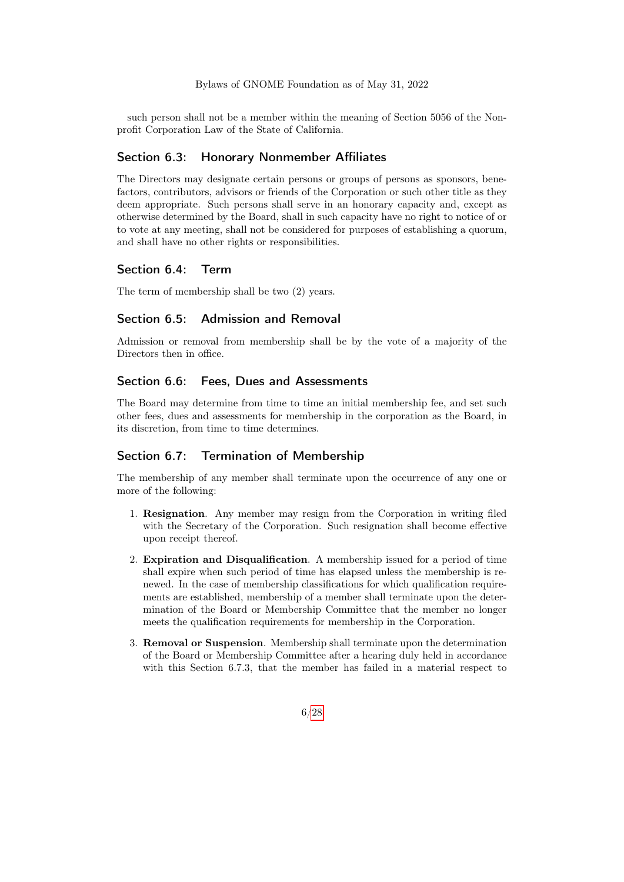such person shall not be a member within the meaning of Section 5056 of the Nonprofit Corporation Law of the State of California.

#### <span id="page-5-0"></span>Section 6.3: Honorary Nonmember Affiliates

The Directors may designate certain persons or groups of persons as sponsors, benefactors, contributors, advisors or friends of the Corporation or such other title as they deem appropriate. Such persons shall serve in an honorary capacity and, except as otherwise determined by the Board, shall in such capacity have no right to notice of or to vote at any meeting, shall not be considered for purposes of establishing a quorum, and shall have no other rights or responsibilities.

#### <span id="page-5-1"></span>Section 6.4: Term

<span id="page-5-2"></span>The term of membership shall be two (2) years.

#### Section 6.5: Admission and Removal

Admission or removal from membership shall be by the vote of a majority of the Directors then in office.

#### <span id="page-5-3"></span>Section 6.6: Fees, Dues and Assessments

The Board may determine from time to time an initial membership fee, and set such other fees, dues and assessments for membership in the corporation as the Board, in its discretion, from time to time determines.

#### <span id="page-5-4"></span>Section 6.7: Termination of Membership

The membership of any member shall terminate upon the occurrence of any one or more of the following:

- 1. Resignation. Any member may resign from the Corporation in writing filed with the Secretary of the Corporation. Such resignation shall become effective upon receipt thereof.
- 2. Expiration and Disqualification. A membership issued for a period of time shall expire when such period of time has elapsed unless the membership is renewed. In the case of membership classifications for which qualification requirements are established, membership of a member shall terminate upon the determination of the Board or Membership Committee that the member no longer meets the qualification requirements for membership in the Corporation.
- 3. Removal or Suspension. Membership shall terminate upon the determination of the Board or Membership Committee after a hearing duly held in accordance with this Section 6.7.3, that the member has failed in a material respect to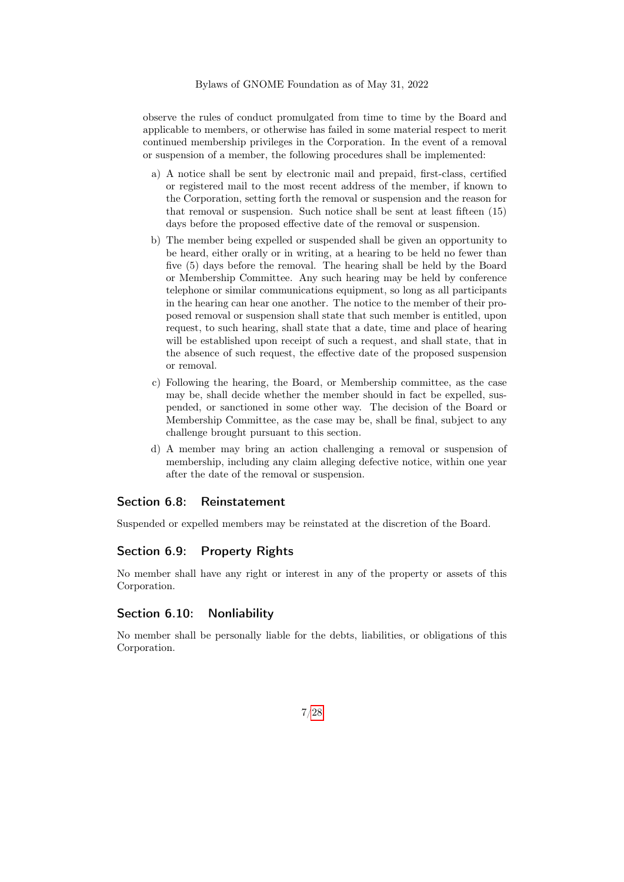observe the rules of conduct promulgated from time to time by the Board and applicable to members, or otherwise has failed in some material respect to merit continued membership privileges in the Corporation. In the event of a removal or suspension of a member, the following procedures shall be implemented:

- a) A notice shall be sent by electronic mail and prepaid, first-class, certified or registered mail to the most recent address of the member, if known to the Corporation, setting forth the removal or suspension and the reason for that removal or suspension. Such notice shall be sent at least fifteen (15) days before the proposed effective date of the removal or suspension.
- b) The member being expelled or suspended shall be given an opportunity to be heard, either orally or in writing, at a hearing to be held no fewer than five (5) days before the removal. The hearing shall be held by the Board or Membership Committee. Any such hearing may be held by conference telephone or similar communications equipment, so long as all participants in the hearing can hear one another. The notice to the member of their proposed removal or suspension shall state that such member is entitled, upon request, to such hearing, shall state that a date, time and place of hearing will be established upon receipt of such a request, and shall state, that in the absence of such request, the effective date of the proposed suspension or removal.
- c) Following the hearing, the Board, or Membership committee, as the case may be, shall decide whether the member should in fact be expelled, suspended, or sanctioned in some other way. The decision of the Board or Membership Committee, as the case may be, shall be final, subject to any challenge brought pursuant to this section.
- d) A member may bring an action challenging a removal or suspension of membership, including any claim alleging defective notice, within one year after the date of the removal or suspension.

### <span id="page-6-0"></span>Section 6.8: Reinstatement

<span id="page-6-1"></span>Suspended or expelled members may be reinstated at the discretion of the Board.

### Section 6.9: Property Rights

No member shall have any right or interest in any of the property or assets of this Corporation.

### <span id="page-6-2"></span>Section 6.10: Nonliability

<span id="page-6-3"></span>No member shall be personally liable for the debts, liabilities, or obligations of this Corporation.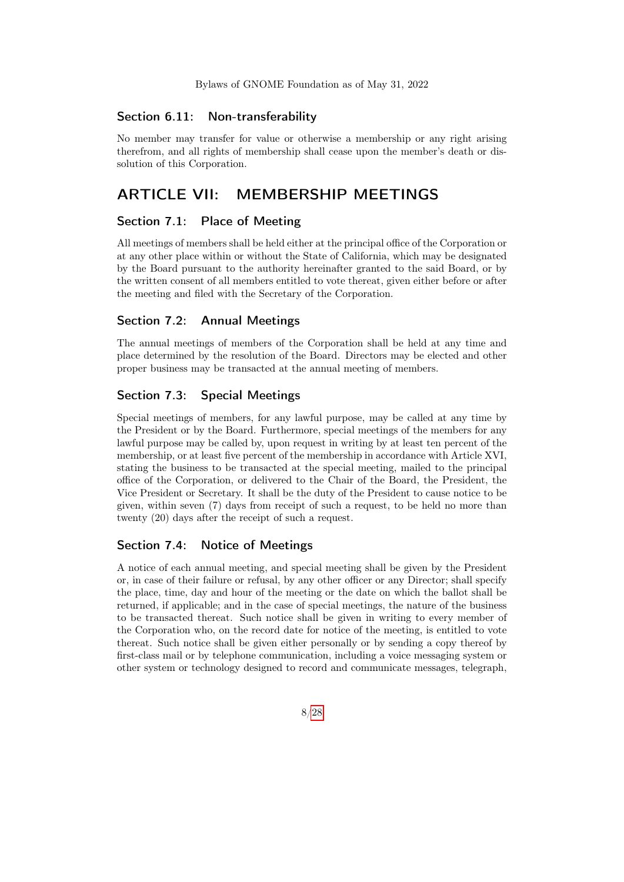#### Section 6.11: Non-transferability

No member may transfer for value or otherwise a membership or any right arising therefrom, and all rights of membership shall cease upon the member's death or dissolution of this Corporation.

# <span id="page-7-0"></span>ARTICLE VII: MEMBERSHIP MEETINGS

### <span id="page-7-1"></span>Section 7.1: Place of Meeting

All meetings of members shall be held either at the principal office of the Corporation or at any other place within or without the State of California, which may be designated by the Board pursuant to the authority hereinafter granted to the said Board, or by the written consent of all members entitled to vote thereat, given either before or after the meeting and filed with the Secretary of the Corporation.

#### <span id="page-7-2"></span>Section 7.2: Annual Meetings

The annual meetings of members of the Corporation shall be held at any time and place determined by the resolution of the Board. Directors may be elected and other proper business may be transacted at the annual meeting of members.

### <span id="page-7-3"></span>Section 7.3: Special Meetings

Special meetings of members, for any lawful purpose, may be called at any time by the President or by the Board. Furthermore, special meetings of the members for any lawful purpose may be called by, upon request in writing by at least ten percent of the membership, or at least five percent of the membership in accordance with Article XVI, stating the business to be transacted at the special meeting, mailed to the principal office of the Corporation, or delivered to the Chair of the Board, the President, the Vice President or Secretary. It shall be the duty of the President to cause notice to be given, within seven (7) days from receipt of such a request, to be held no more than twenty (20) days after the receipt of such a request.

#### <span id="page-7-4"></span>Section 7.4: Notice of Meetings

A notice of each annual meeting, and special meeting shall be given by the President or, in case of their failure or refusal, by any other officer or any Director; shall specify the place, time, day and hour of the meeting or the date on which the ballot shall be returned, if applicable; and in the case of special meetings, the nature of the business to be transacted thereat. Such notice shall be given in writing to every member of the Corporation who, on the record date for notice of the meeting, is entitled to vote thereat. Such notice shall be given either personally or by sending a copy thereof by first-class mail or by telephone communication, including a voice messaging system or other system or technology designed to record and communicate messages, telegraph,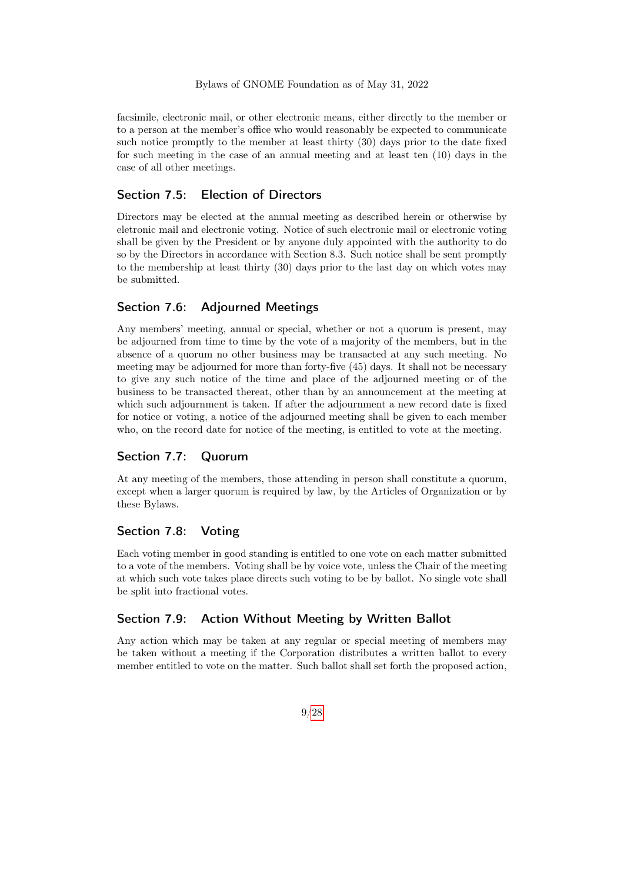facsimile, electronic mail, or other electronic means, either directly to the member or to a person at the member's office who would reasonably be expected to communicate such notice promptly to the member at least thirty (30) days prior to the date fixed for such meeting in the case of an annual meeting and at least ten (10) days in the case of all other meetings.

### <span id="page-8-0"></span>Section 7.5: Election of Directors

Directors may be elected at the annual meeting as described herein or otherwise by eletronic mail and electronic voting. Notice of such electronic mail or electronic voting shall be given by the President or by anyone duly appointed with the authority to do so by the Directors in accordance with Section 8.3. Such notice shall be sent promptly to the membership at least thirty (30) days prior to the last day on which votes may be submitted.

## <span id="page-8-1"></span>Section 7.6: Adjourned Meetings

Any members' meeting, annual or special, whether or not a quorum is present, may be adjourned from time to time by the vote of a majority of the members, but in the absence of a quorum no other business may be transacted at any such meeting. No meeting may be adjourned for more than forty-five (45) days. It shall not be necessary to give any such notice of the time and place of the adjourned meeting or of the business to be transacted thereat, other than by an announcement at the meeting at which such adjournment is taken. If after the adjournment a new record date is fixed for notice or voting, a notice of the adjourned meeting shall be given to each member who, on the record date for notice of the meeting, is entitled to vote at the meeting.

### <span id="page-8-2"></span>Section 7.7: Quorum

At any meeting of the members, those attending in person shall constitute a quorum, except when a larger quorum is required by law, by the Articles of Organization or by these Bylaws.

#### <span id="page-8-3"></span>Section 7.8: Voting

Each voting member in good standing is entitled to one vote on each matter submitted to a vote of the members. Voting shall be by voice vote, unless the Chair of the meeting at which such vote takes place directs such voting to be by ballot. No single vote shall be split into fractional votes.

### <span id="page-8-4"></span>Section 7.9: Action Without Meeting by Written Ballot

Any action which may be taken at any regular or special meeting of members may be taken without a meeting if the Corporation distributes a written ballot to every member entitled to vote on the matter. Such ballot shall set forth the proposed action,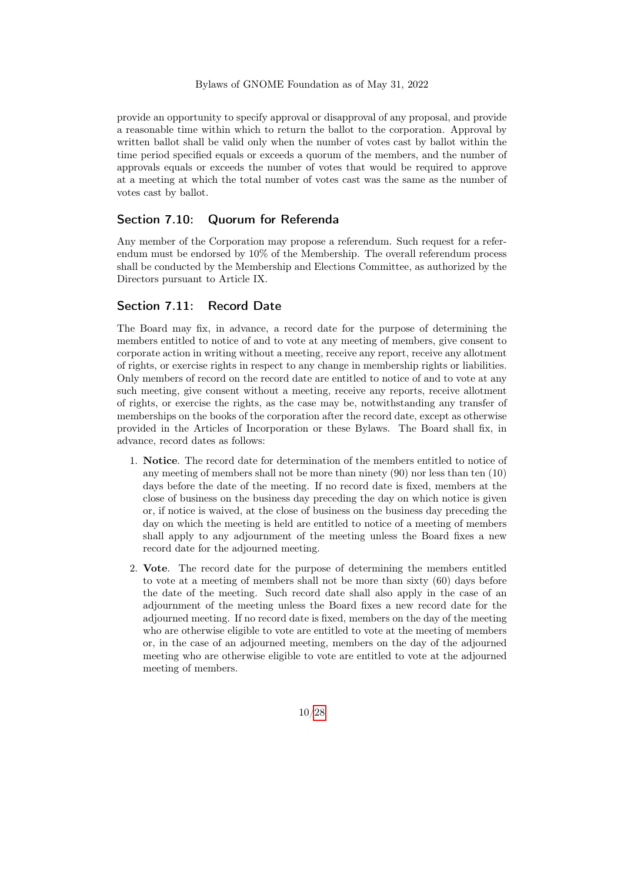provide an opportunity to specify approval or disapproval of any proposal, and provide a reasonable time within which to return the ballot to the corporation. Approval by written ballot shall be valid only when the number of votes cast by ballot within the time period specified equals or exceeds a quorum of the members, and the number of approvals equals or exceeds the number of votes that would be required to approve at a meeting at which the total number of votes cast was the same as the number of votes cast by ballot.

### <span id="page-9-0"></span>Section 7.10: Quorum for Referenda

Any member of the Corporation may propose a referendum. Such request for a referendum must be endorsed by 10% of the Membership. The overall referendum process shall be conducted by the Membership and Elections Committee, as authorized by the Directors pursuant to Article IX.

#### <span id="page-9-1"></span>Section 7.11: Record Date

The Board may fix, in advance, a record date for the purpose of determining the members entitled to notice of and to vote at any meeting of members, give consent to corporate action in writing without a meeting, receive any report, receive any allotment of rights, or exercise rights in respect to any change in membership rights or liabilities. Only members of record on the record date are entitled to notice of and to vote at any such meeting, give consent without a meeting, receive any reports, receive allotment of rights, or exercise the rights, as the case may be, notwithstanding any transfer of memberships on the books of the corporation after the record date, except as otherwise provided in the Articles of Incorporation or these Bylaws. The Board shall fix, in advance, record dates as follows:

- 1. Notice. The record date for determination of the members entitled to notice of any meeting of members shall not be more than ninety (90) nor less than ten (10) days before the date of the meeting. If no record date is fixed, members at the close of business on the business day preceding the day on which notice is given or, if notice is waived, at the close of business on the business day preceding the day on which the meeting is held are entitled to notice of a meeting of members shall apply to any adjournment of the meeting unless the Board fixes a new record date for the adjourned meeting.
- 2. Vote. The record date for the purpose of determining the members entitled to vote at a meeting of members shall not be more than sixty (60) days before the date of the meeting. Such record date shall also apply in the case of an adjournment of the meeting unless the Board fixes a new record date for the adjourned meeting. If no record date is fixed, members on the day of the meeting who are otherwise eligible to vote are entitled to vote at the meeting of members or, in the case of an adjourned meeting, members on the day of the adjourned meeting who are otherwise eligible to vote are entitled to vote at the adjourned meeting of members.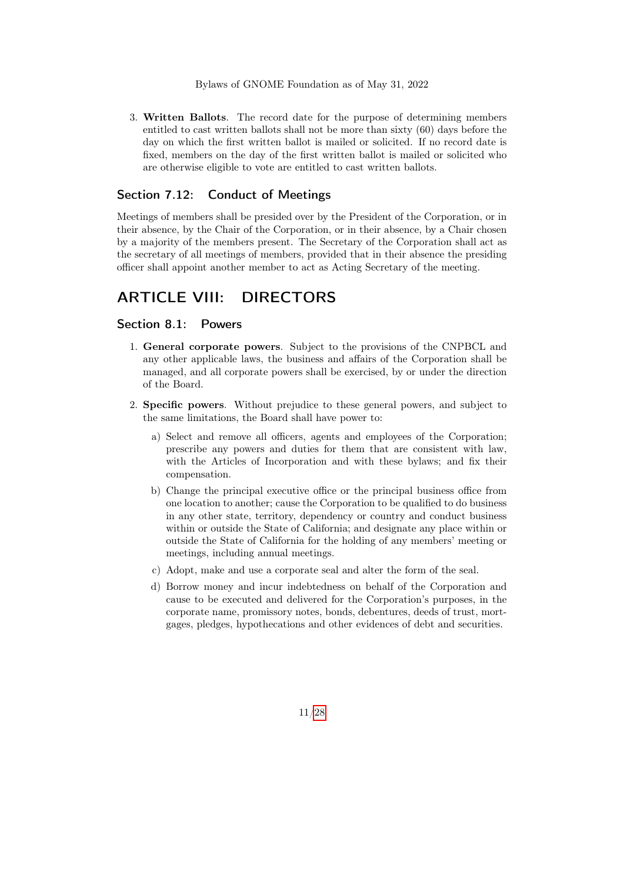3. Written Ballots. The record date for the purpose of determining members entitled to cast written ballots shall not be more than sixty (60) days before the day on which the first written ballot is mailed or solicited. If no record date is fixed, members on the day of the first written ballot is mailed or solicited who are otherwise eligible to vote are entitled to cast written ballots.

#### <span id="page-10-0"></span>Section 7.12: Conduct of Meetings

Meetings of members shall be presided over by the President of the Corporation, or in their absence, by the Chair of the Corporation, or in their absence, by a Chair chosen by a majority of the members present. The Secretary of the Corporation shall act as the secretary of all meetings of members, provided that in their absence the presiding officer shall appoint another member to act as Acting Secretary of the meeting.

## <span id="page-10-1"></span>ARTICLE VIII: DIRECTORS

#### <span id="page-10-2"></span>Section 8.1: Powers

- 1. General corporate powers. Subject to the provisions of the CNPBCL and any other applicable laws, the business and affairs of the Corporation shall be managed, and all corporate powers shall be exercised, by or under the direction of the Board.
- <span id="page-10-3"></span>2. Specific powers. Without prejudice to these general powers, and subject to the same limitations, the Board shall have power to:
	- a) Select and remove all officers, agents and employees of the Corporation; prescribe any powers and duties for them that are consistent with law, with the Articles of Incorporation and with these bylaws; and fix their compensation.
	- b) Change the principal executive office or the principal business office from one location to another; cause the Corporation to be qualified to do business in any other state, territory, dependency or country and conduct business within or outside the State of California; and designate any place within or outside the State of California for the holding of any members' meeting or meetings, including annual meetings.
	- c) Adopt, make and use a corporate seal and alter the form of the seal.
	- d) Borrow money and incur indebtedness on behalf of the Corporation and cause to be executed and delivered for the Corporation's purposes, in the corporate name, promissory notes, bonds, debentures, deeds of trust, mortgages, pledges, hypothecations and other evidences of debt and securities.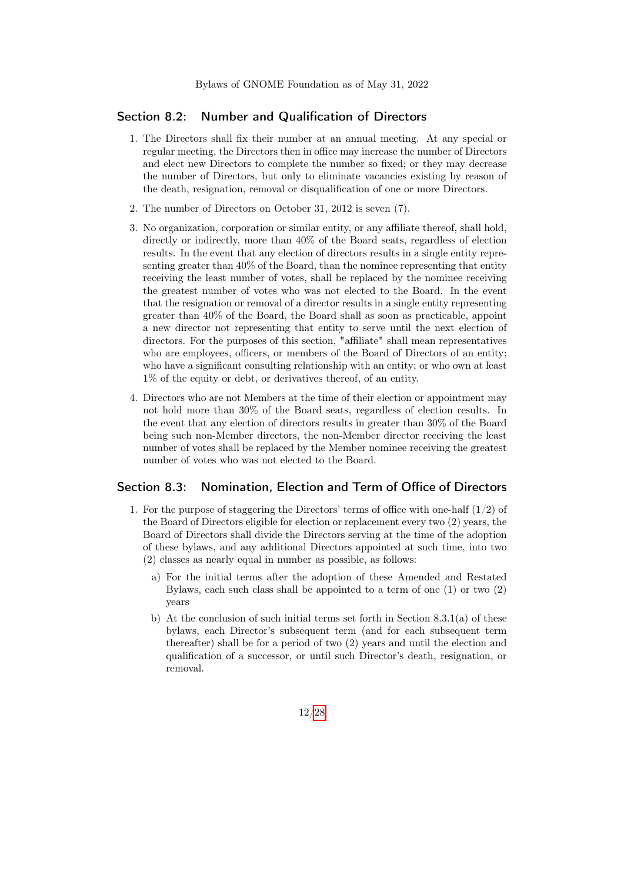#### Section 8.2: Number and Qualification of Directors

- 1. The Directors shall fix their number at an annual meeting. At any special or regular meeting, the Directors then in office may increase the number of Directors and elect new Directors to complete the number so fixed; or they may decrease the number of Directors, but only to eliminate vacancies existing by reason of the death, resignation, removal or disqualification of one or more Directors.
- 2. The number of Directors on October 31, 2012 is seven (7).
- 3. No organization, corporation or similar entity, or any affiliate thereof, shall hold, directly or indirectly, more than 40% of the Board seats, regardless of election results. In the event that any election of directors results in a single entity representing greater than 40% of the Board, than the nominee representing that entity receiving the least number of votes, shall be replaced by the nominee receiving the greatest number of votes who was not elected to the Board. In the event that the resignation or removal of a director results in a single entity representing greater than 40% of the Board, the Board shall as soon as practicable, appoint a new director not representing that entity to serve until the next election of directors. For the purposes of this section, "affiliate" shall mean representatives who are employees, officers, or members of the Board of Directors of an entity; who have a significant consulting relationship with an entity; or who own at least 1% of the equity or debt, or derivatives thereof, of an entity.
- 4. Directors who are not Members at the time of their election or appointment may not hold more than 30% of the Board seats, regardless of election results. In the event that any election of directors results in greater than 30% of the Board being such non-Member directors, the non-Member director receiving the least number of votes shall be replaced by the Member nominee receiving the greatest number of votes who was not elected to the Board.

#### <span id="page-11-0"></span>Section 8.3: Nomination, Election and Term of Office of Directors

- 1. For the purpose of staggering the Directors' terms of office with one-half (1/2) of the Board of Directors eligible for election or replacement every two (2) years, the Board of Directors shall divide the Directors serving at the time of the adoption of these bylaws, and any additional Directors appointed at such time, into two (2) classes as nearly equal in number as possible, as follows:
	- a) For the initial terms after the adoption of these Amended and Restated Bylaws, each such class shall be appointed to a term of one (1) or two (2) years
	- b) At the conclusion of such initial terms set forth in Section 8.3.1(a) of these bylaws, each Director's subsequent term (and for each subsequent term thereafter) shall be for a period of two (2) years and until the election and qualification of a successor, or until such Director's death, resignation, or removal.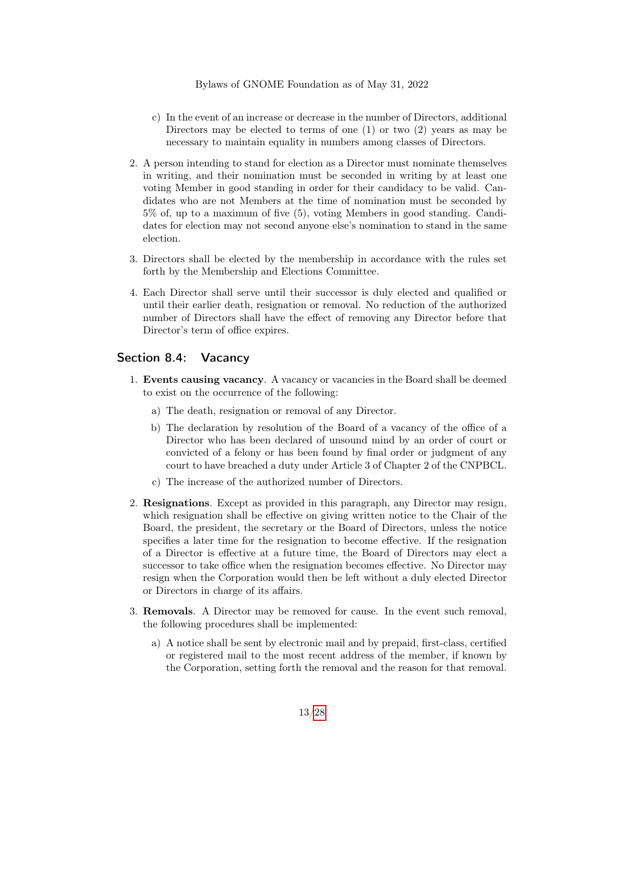- c) In the event of an increase or decrease in the number of Directors, additional Directors may be elected to terms of one  $(1)$  or two  $(2)$  years as may be necessary to maintain equality in numbers among classes of Directors.
- 2. A person intending to stand for election as a Director must nominate themselves in writing, and their nomination must be seconded in writing by at least one voting Member in good standing in order for their candidacy to be valid. Candidates who are not Members at the time of nomination must be seconded by 5% of, up to a maximum of five (5), voting Members in good standing. Candidates for election may not second anyone else's nomination to stand in the same election.
- 3. Directors shall be elected by the membership in accordance with the rules set forth by the Membership and Elections Committee.
- 4. Each Director shall serve until their successor is duly elected and qualified or until their earlier death, resignation or removal. No reduction of the authorized number of Directors shall have the effect of removing any Director before that Director's term of office expires.

#### <span id="page-12-0"></span>Section 8.4: Vacancy

- 1. Events causing vacancy. A vacancy or vacancies in the Board shall be deemed to exist on the occurrence of the following:
	- a) The death, resignation or removal of any Director.
	- b) The declaration by resolution of the Board of a vacancy of the office of a Director who has been declared of unsound mind by an order of court or convicted of a felony or has been found by final order or judgment of any court to have breached a duty under Article 3 of Chapter 2 of the CNPBCL.
	- c) The increase of the authorized number of Directors.
- 2. Resignations. Except as provided in this paragraph, any Director may resign, which resignation shall be effective on giving written notice to the Chair of the Board, the president, the secretary or the Board of Directors, unless the notice specifies a later time for the resignation to become effective. If the resignation of a Director is effective at a future time, the Board of Directors may elect a successor to take office when the resignation becomes effective. No Director may resign when the Corporation would then be left without a duly elected Director or Directors in charge of its affairs.
- 3. Removals. A Director may be removed for cause. In the event such removal, the following procedures shall be implemented:
	- a) A notice shall be sent by electronic mail and by prepaid, first-class, certified or registered mail to the most recent address of the member, if known by the Corporation, setting forth the removal and the reason for that removal.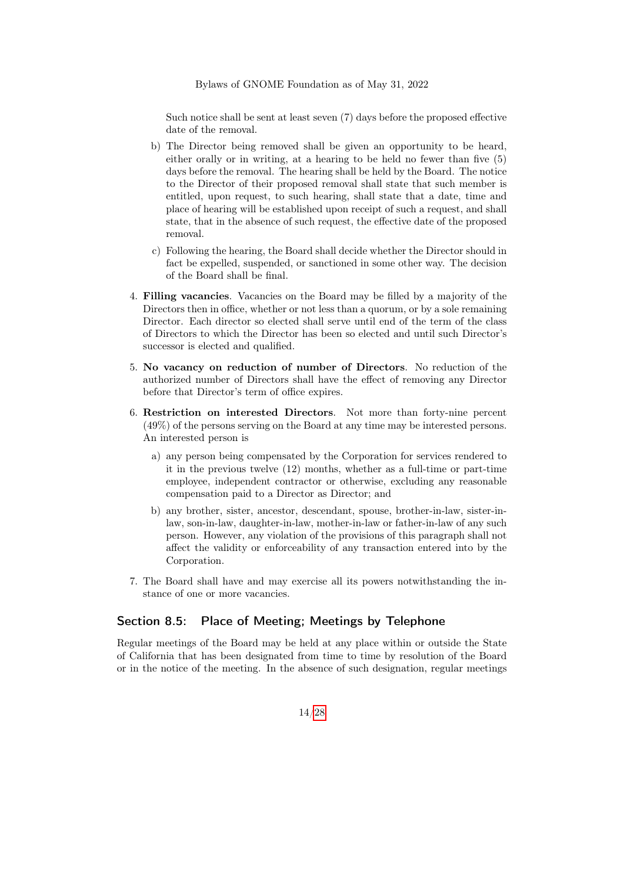Such notice shall be sent at least seven (7) days before the proposed effective date of the removal.

- b) The Director being removed shall be given an opportunity to be heard, either orally or in writing, at a hearing to be held no fewer than five (5) days before the removal. The hearing shall be held by the Board. The notice to the Director of their proposed removal shall state that such member is entitled, upon request, to such hearing, shall state that a date, time and place of hearing will be established upon receipt of such a request, and shall state, that in the absence of such request, the effective date of the proposed removal.
- c) Following the hearing, the Board shall decide whether the Director should in fact be expelled, suspended, or sanctioned in some other way. The decision of the Board shall be final.
- 4. Filling vacancies. Vacancies on the Board may be filled by a majority of the Directors then in office, whether or not less than a quorum, or by a sole remaining Director. Each director so elected shall serve until end of the term of the class of Directors to which the Director has been so elected and until such Director's successor is elected and qualified.
- 5. No vacancy on reduction of number of Directors. No reduction of the authorized number of Directors shall have the effect of removing any Director before that Director's term of office expires.
- 6. Restriction on interested Directors. Not more than forty-nine percent (49%) of the persons serving on the Board at any time may be interested persons. An interested person is
	- a) any person being compensated by the Corporation for services rendered to it in the previous twelve (12) months, whether as a full-time or part-time employee, independent contractor or otherwise, excluding any reasonable compensation paid to a Director as Director; and
	- b) any brother, sister, ancestor, descendant, spouse, brother-in-law, sister-inlaw, son-in-law, daughter-in-law, mother-in-law or father-in-law of any such person. However, any violation of the provisions of this paragraph shall not affect the validity or enforceability of any transaction entered into by the Corporation.
- 7. The Board shall have and may exercise all its powers notwithstanding the instance of one or more vacancies.

#### <span id="page-13-0"></span>Section 8.5: Place of Meeting; Meetings by Telephone

Regular meetings of the Board may be held at any place within or outside the State of California that has been designated from time to time by resolution of the Board or in the notice of the meeting. In the absence of such designation, regular meetings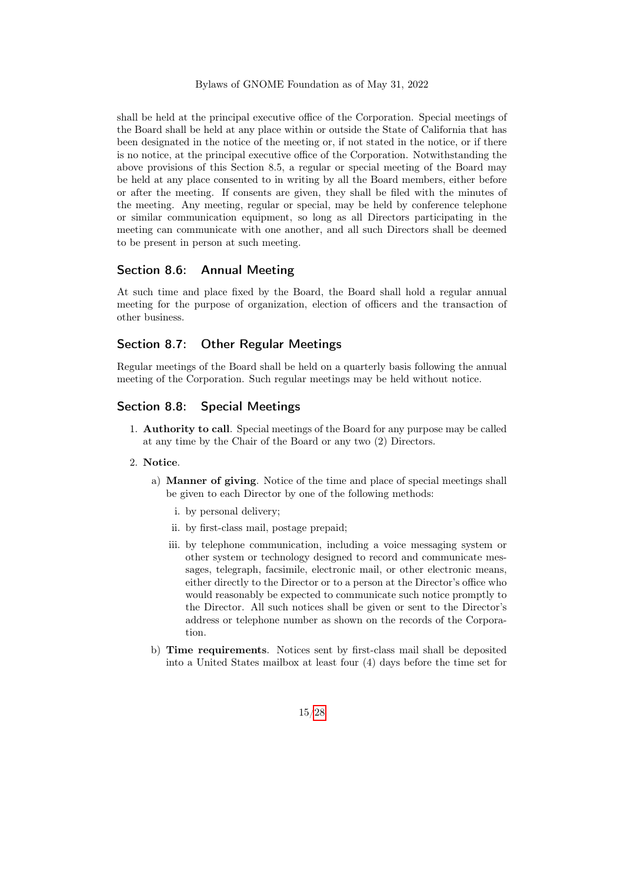shall be held at the principal executive office of the Corporation. Special meetings of the Board shall be held at any place within or outside the State of California that has been designated in the notice of the meeting or, if not stated in the notice, or if there is no notice, at the principal executive office of the Corporation. Notwithstanding the above provisions of this Section 8.5, a regular or special meeting of the Board may be held at any place consented to in writing by all the Board members, either before or after the meeting. If consents are given, they shall be filed with the minutes of the meeting. Any meeting, regular or special, may be held by conference telephone or similar communication equipment, so long as all Directors participating in the meeting can communicate with one another, and all such Directors shall be deemed to be present in person at such meeting.

### <span id="page-14-0"></span>Section 8.6: Annual Meeting

At such time and place fixed by the Board, the Board shall hold a regular annual meeting for the purpose of organization, election of officers and the transaction of other business.

#### <span id="page-14-1"></span>Section 8.7: Other Regular Meetings

Regular meetings of the Board shall be held on a quarterly basis following the annual meeting of the Corporation. Such regular meetings may be held without notice.

### <span id="page-14-2"></span>Section 8.8: Special Meetings

1. Authority to call. Special meetings of the Board for any purpose may be called at any time by the Chair of the Board or any two (2) Directors.

#### 2. Notice.

- a) Manner of giving. Notice of the time and place of special meetings shall be given to each Director by one of the following methods:
	- i. by personal delivery;
	- ii. by first-class mail, postage prepaid;
	- iii. by telephone communication, including a voice messaging system or other system or technology designed to record and communicate messages, telegraph, facsimile, electronic mail, or other electronic means, either directly to the Director or to a person at the Director's office who would reasonably be expected to communicate such notice promptly to the Director. All such notices shall be given or sent to the Director's address or telephone number as shown on the records of the Corporation.
- b) Time requirements. Notices sent by first-class mail shall be deposited into a United States mailbox at least four (4) days before the time set for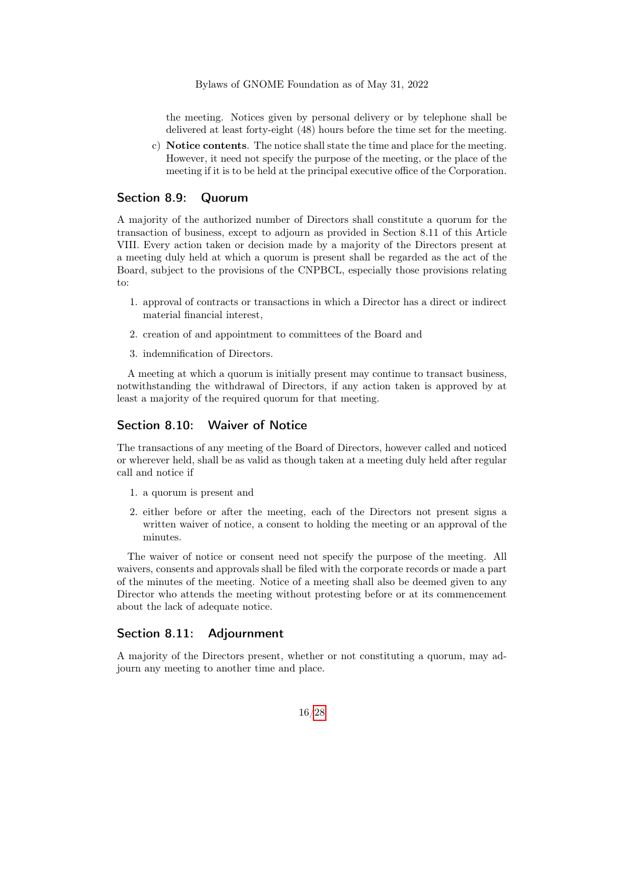the meeting. Notices given by personal delivery or by telephone shall be delivered at least forty-eight (48) hours before the time set for the meeting.

c) Notice contents. The notice shall state the time and place for the meeting. However, it need not specify the purpose of the meeting, or the place of the meeting if it is to be held at the principal executive office of the Corporation.

#### <span id="page-15-0"></span>Section 8.9: Quorum

A majority of the authorized number of Directors shall constitute a quorum for the transaction of business, except to adjourn as provided in Section 8.11 of this Article VIII. Every action taken or decision made by a majority of the Directors present at a meeting duly held at which a quorum is present shall be regarded as the act of the Board, subject to the provisions of the CNPBCL, especially those provisions relating to:

- 1. approval of contracts or transactions in which a Director has a direct or indirect material financial interest,
- 2. creation of and appointment to committees of the Board and
- 3. indemnification of Directors.

A meeting at which a quorum is initially present may continue to transact business, notwithstanding the withdrawal of Directors, if any action taken is approved by at least a majority of the required quorum for that meeting.

#### <span id="page-15-1"></span>Section 8.10: Waiver of Notice

The transactions of any meeting of the Board of Directors, however called and noticed or wherever held, shall be as valid as though taken at a meeting duly held after regular call and notice if

- 1. a quorum is present and
- 2. either before or after the meeting, each of the Directors not present signs a written waiver of notice, a consent to holding the meeting or an approval of the minutes.

The waiver of notice or consent need not specify the purpose of the meeting. All waivers, consents and approvals shall be filed with the corporate records or made a part of the minutes of the meeting. Notice of a meeting shall also be deemed given to any Director who attends the meeting without protesting before or at its commencement about the lack of adequate notice.

#### <span id="page-15-2"></span>Section 8.11: Adjournment

<span id="page-15-3"></span>A majority of the Directors present, whether or not constituting a quorum, may adjourn any meeting to another time and place.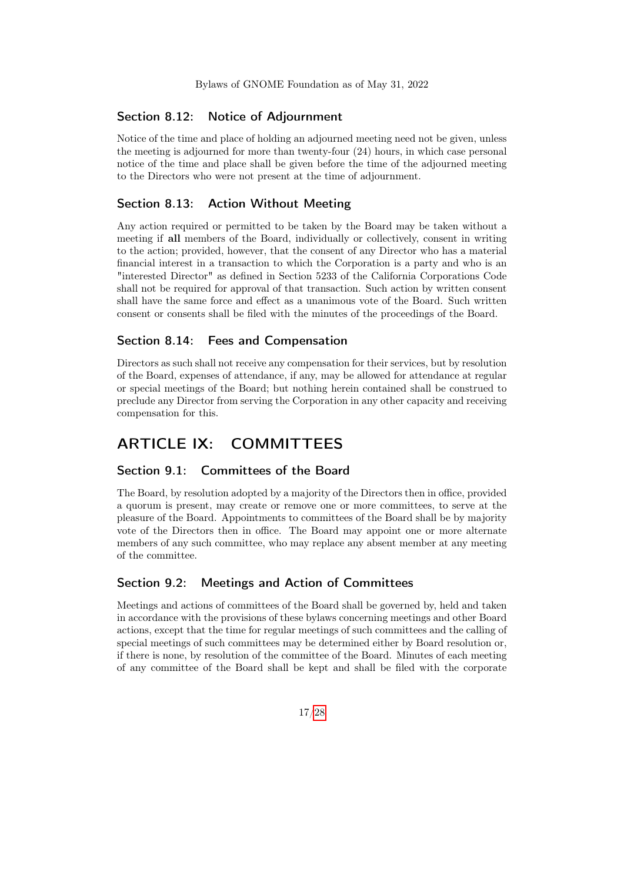#### Section 8.12: Notice of Adjournment

Notice of the time and place of holding an adjourned meeting need not be given, unless the meeting is adjourned for more than twenty-four (24) hours, in which case personal notice of the time and place shall be given before the time of the adjourned meeting to the Directors who were not present at the time of adjournment.

#### <span id="page-16-0"></span>Section 8.13: Action Without Meeting

Any action required or permitted to be taken by the Board may be taken without a meeting if all members of the Board, individually or collectively, consent in writing to the action; provided, however, that the consent of any Director who has a material financial interest in a transaction to which the Corporation is a party and who is an "interested Director" as defined in Section 5233 of the California Corporations Code shall not be required for approval of that transaction. Such action by written consent shall have the same force and effect as a unanimous vote of the Board. Such written consent or consents shall be filed with the minutes of the proceedings of the Board.

#### <span id="page-16-1"></span>Section 8.14: Fees and Compensation

Directors as such shall not receive any compensation for their services, but by resolution of the Board, expenses of attendance, if any, may be allowed for attendance at regular or special meetings of the Board; but nothing herein contained shall be construed to preclude any Director from serving the Corporation in any other capacity and receiving compensation for this.

# <span id="page-16-2"></span>ARTICLE IX: COMMITTEES

### <span id="page-16-3"></span>Section 9.1: Committees of the Board

The Board, by resolution adopted by a majority of the Directors then in office, provided a quorum is present, may create or remove one or more committees, to serve at the pleasure of the Board. Appointments to committees of the Board shall be by majority vote of the Directors then in office. The Board may appoint one or more alternate members of any such committee, who may replace any absent member at any meeting of the committee.

#### <span id="page-16-4"></span>Section 9.2: Meetings and Action of Committees

Meetings and actions of committees of the Board shall be governed by, held and taken in accordance with the provisions of these bylaws concerning meetings and other Board actions, except that the time for regular meetings of such committees and the calling of special meetings of such committees may be determined either by Board resolution or, if there is none, by resolution of the committee of the Board. Minutes of each meeting of any committee of the Board shall be kept and shall be filed with the corporate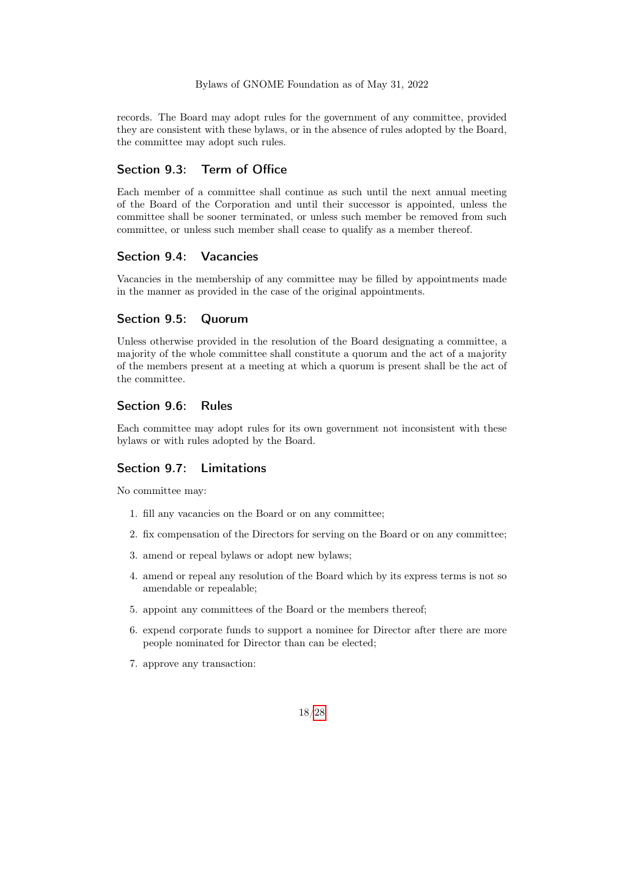records. The Board may adopt rules for the government of any committee, provided they are consistent with these bylaws, or in the absence of rules adopted by the Board, the committee may adopt such rules.

### <span id="page-17-0"></span>Section 9.3: Term of Office

Each member of a committee shall continue as such until the next annual meeting of the Board of the Corporation and until their successor is appointed, unless the committee shall be sooner terminated, or unless such member be removed from such committee, or unless such member shall cease to qualify as a member thereof.

#### <span id="page-17-1"></span>Section 9.4: Vacancies

Vacancies in the membership of any committee may be filled by appointments made in the manner as provided in the case of the original appointments.

### <span id="page-17-2"></span>Section 9.5: Quorum

Unless otherwise provided in the resolution of the Board designating a committee, a majority of the whole committee shall constitute a quorum and the act of a majority of the members present at a meeting at which a quorum is present shall be the act of the committee.

#### <span id="page-17-3"></span>Section 9.6: Rules

Each committee may adopt rules for its own government not inconsistent with these bylaws or with rules adopted by the Board.

#### <span id="page-17-4"></span>Section 9.7: Limitations

No committee may:

- 1. fill any vacancies on the Board or on any committee;
- 2. fix compensation of the Directors for serving on the Board or on any committee;
- 3. amend or repeal bylaws or adopt new bylaws;
- 4. amend or repeal any resolution of the Board which by its express terms is not so amendable or repealable;
- 5. appoint any committees of the Board or the members thereof;
- 6. expend corporate funds to support a nominee for Director after there are more people nominated for Director than can be elected;
- 7. approve any transaction: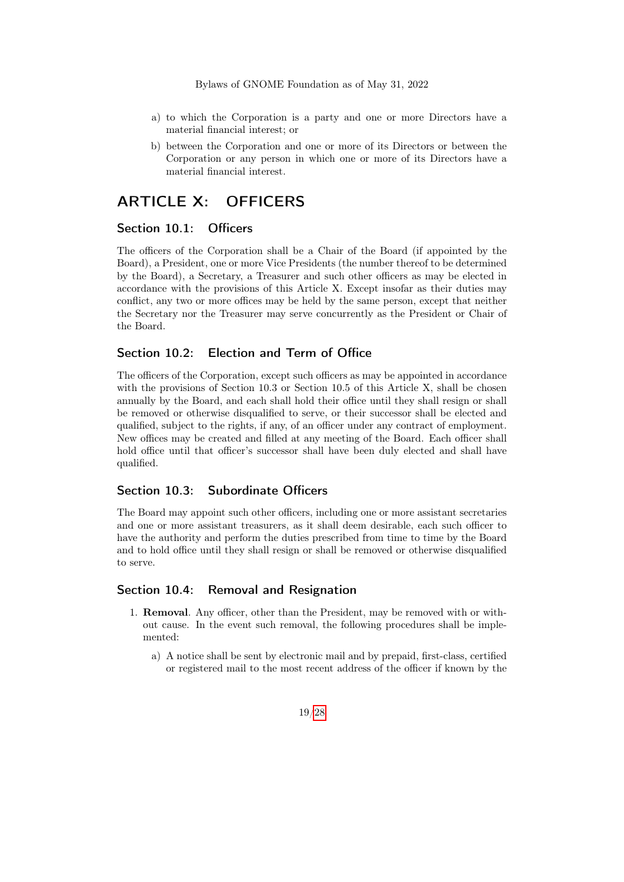- a) to which the Corporation is a party and one or more Directors have a material financial interest; or
- b) between the Corporation and one or more of its Directors or between the Corporation or any person in which one or more of its Directors have a material financial interest.

# <span id="page-18-0"></span>ARTICLE X: OFFICERS

#### <span id="page-18-1"></span>Section 10.1: Officers

The officers of the Corporation shall be a Chair of the Board (if appointed by the Board), a President, one or more Vice Presidents (the number thereof to be determined by the Board), a Secretary, a Treasurer and such other officers as may be elected in accordance with the provisions of this Article X. Except insofar as their duties may conflict, any two or more offices may be held by the same person, except that neither the Secretary nor the Treasurer may serve concurrently as the President or Chair of the Board.

#### <span id="page-18-2"></span>Section 10.2: Election and Term of Office

The officers of the Corporation, except such officers as may be appointed in accordance with the provisions of Section 10.3 or Section 10.5 of this Article X, shall be chosen annually by the Board, and each shall hold their office until they shall resign or shall be removed or otherwise disqualified to serve, or their successor shall be elected and qualified, subject to the rights, if any, of an officer under any contract of employment. New offices may be created and filled at any meeting of the Board. Each officer shall hold office until that officer's successor shall have been duly elected and shall have qualified.

### <span id="page-18-3"></span>Section 10.3: Subordinate Officers

The Board may appoint such other officers, including one or more assistant secretaries and one or more assistant treasurers, as it shall deem desirable, each such officer to have the authority and perform the duties prescribed from time to time by the Board and to hold office until they shall resign or shall be removed or otherwise disqualified to serve.

#### <span id="page-18-4"></span>Section 10.4: Removal and Resignation

- 1. Removal. Any officer, other than the President, may be removed with or without cause. In the event such removal, the following procedures shall be implemented:
	- a) A notice shall be sent by electronic mail and by prepaid, first-class, certified or registered mail to the most recent address of the officer if known by the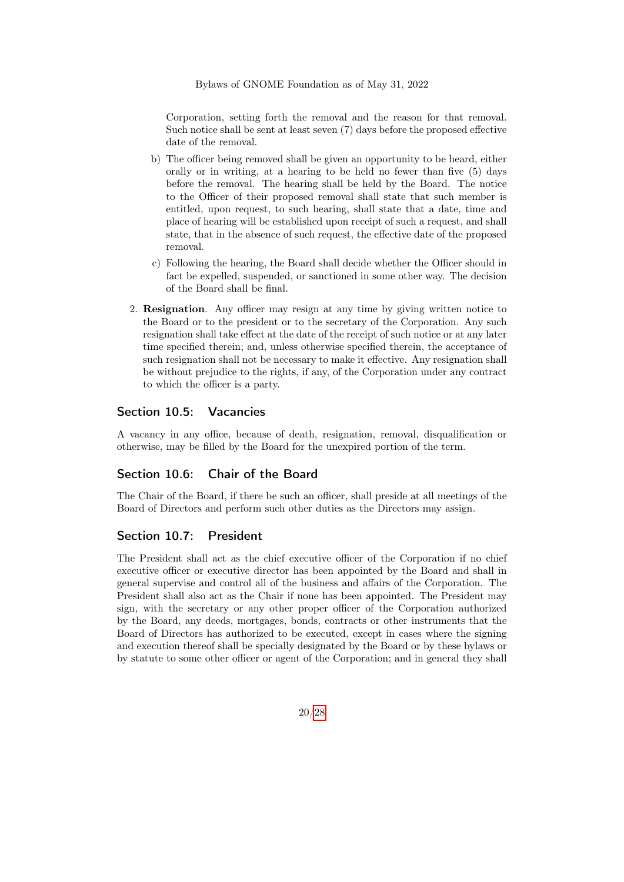Corporation, setting forth the removal and the reason for that removal. Such notice shall be sent at least seven (7) days before the proposed effective date of the removal.

- b) The officer being removed shall be given an opportunity to be heard, either orally or in writing, at a hearing to be held no fewer than five (5) days before the removal. The hearing shall be held by the Board. The notice to the Officer of their proposed removal shall state that such member is entitled, upon request, to such hearing, shall state that a date, time and place of hearing will be established upon receipt of such a request, and shall state, that in the absence of such request, the effective date of the proposed removal.
- c) Following the hearing, the Board shall decide whether the Officer should in fact be expelled, suspended, or sanctioned in some other way. The decision of the Board shall be final.
- 2. Resignation. Any officer may resign at any time by giving written notice to the Board or to the president or to the secretary of the Corporation. Any such resignation shall take effect at the date of the receipt of such notice or at any later time specified therein; and, unless otherwise specified therein, the acceptance of such resignation shall not be necessary to make it effective. Any resignation shall be without prejudice to the rights, if any, of the Corporation under any contract to which the officer is a party.

#### <span id="page-19-0"></span>Section 10.5: Vacancies

A vacancy in any office, because of death, resignation, removal, disqualification or otherwise, may be filled by the Board for the unexpired portion of the term.

### <span id="page-19-1"></span>Section 10.6: Chair of the Board

The Chair of the Board, if there be such an officer, shall preside at all meetings of the Board of Directors and perform such other duties as the Directors may assign.

#### <span id="page-19-2"></span>Section 10.7: President

The President shall act as the chief executive officer of the Corporation if no chief executive officer or executive director has been appointed by the Board and shall in general supervise and control all of the business and affairs of the Corporation. The President shall also act as the Chair if none has been appointed. The President may sign, with the secretary or any other proper officer of the Corporation authorized by the Board, any deeds, mortgages, bonds, contracts or other instruments that the Board of Directors has authorized to be executed, except in cases where the signing and execution thereof shall be specially designated by the Board or by these bylaws or by statute to some other officer or agent of the Corporation; and in general they shall

20[/28](#page-27-0)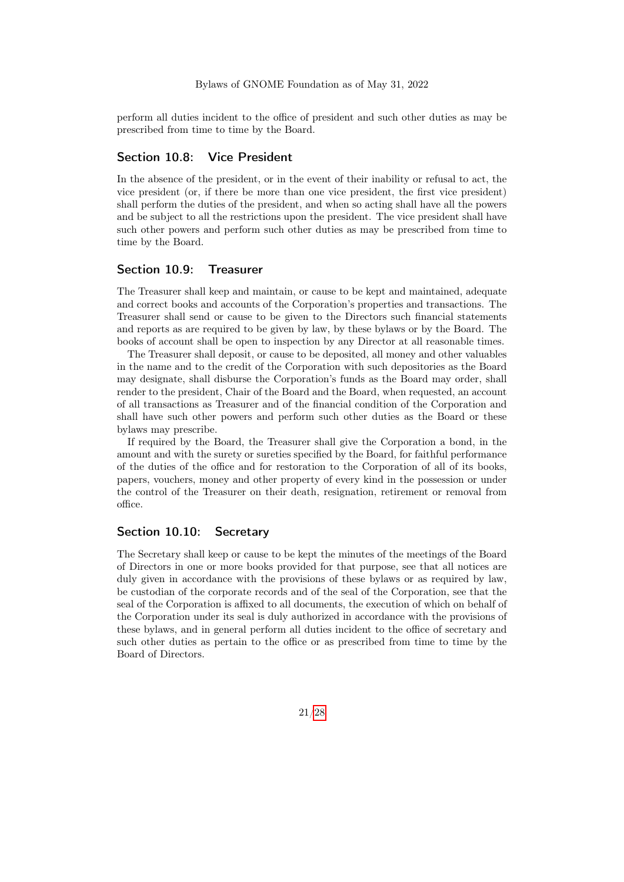perform all duties incident to the office of president and such other duties as may be prescribed from time to time by the Board.

#### <span id="page-20-0"></span>Section 10.8: Vice President

In the absence of the president, or in the event of their inability or refusal to act, the vice president (or, if there be more than one vice president, the first vice president) shall perform the duties of the president, and when so acting shall have all the powers and be subject to all the restrictions upon the president. The vice president shall have such other powers and perform such other duties as may be prescribed from time to time by the Board.

#### <span id="page-20-1"></span>Section 10.9: Treasurer

The Treasurer shall keep and maintain, or cause to be kept and maintained, adequate and correct books and accounts of the Corporation's properties and transactions. The Treasurer shall send or cause to be given to the Directors such financial statements and reports as are required to be given by law, by these bylaws or by the Board. The books of account shall be open to inspection by any Director at all reasonable times.

The Treasurer shall deposit, or cause to be deposited, all money and other valuables in the name and to the credit of the Corporation with such depositories as the Board may designate, shall disburse the Corporation's funds as the Board may order, shall render to the president, Chair of the Board and the Board, when requested, an account of all transactions as Treasurer and of the financial condition of the Corporation and shall have such other powers and perform such other duties as the Board or these bylaws may prescribe.

If required by the Board, the Treasurer shall give the Corporation a bond, in the amount and with the surety or sureties specified by the Board, for faithful performance of the duties of the office and for restoration to the Corporation of all of its books, papers, vouchers, money and other property of every kind in the possession or under the control of the Treasurer on their death, resignation, retirement or removal from office.

#### <span id="page-20-2"></span>Section 10.10: Secretary

<span id="page-20-3"></span>The Secretary shall keep or cause to be kept the minutes of the meetings of the Board of Directors in one or more books provided for that purpose, see that all notices are duly given in accordance with the provisions of these bylaws or as required by law, be custodian of the corporate records and of the seal of the Corporation, see that the seal of the Corporation is affixed to all documents, the execution of which on behalf of the Corporation under its seal is duly authorized in accordance with the provisions of these bylaws, and in general perform all duties incident to the office of secretary and such other duties as pertain to the office or as prescribed from time to time by the Board of Directors.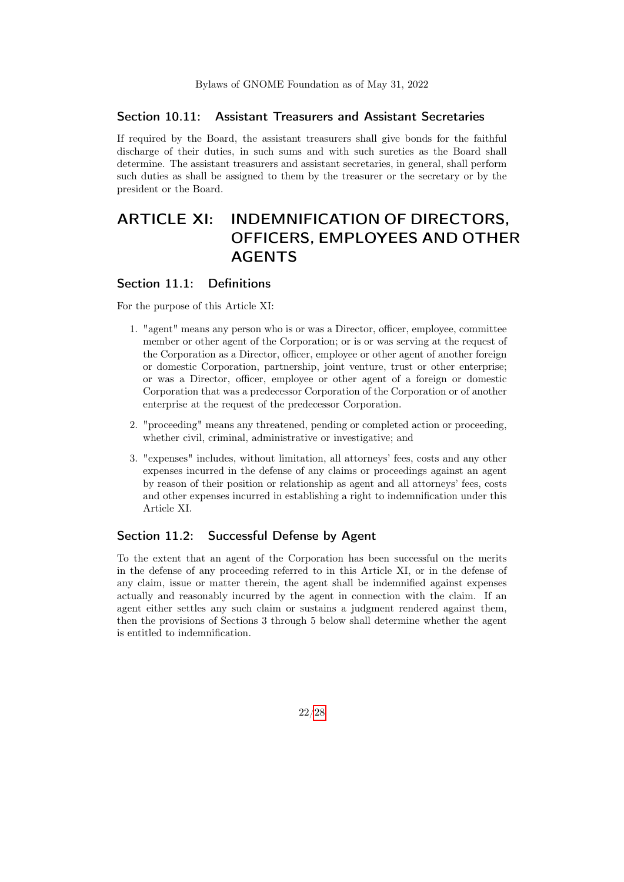#### Section 10.11: Assistant Treasurers and Assistant Secretaries

If required by the Board, the assistant treasurers shall give bonds for the faithful discharge of their duties, in such sums and with such sureties as the Board shall determine. The assistant treasurers and assistant secretaries, in general, shall perform such duties as shall be assigned to them by the treasurer or the secretary or by the president or the Board.

# <span id="page-21-0"></span>ARTICLE XI: INDEMNIFICATION OF DIRECTORS, OFFICERS, EMPLOYEES AND OTHER AGENTS

#### <span id="page-21-1"></span>Section 11.1: Definitions

For the purpose of this Article XI:

- 1. "agent" means any person who is or was a Director, officer, employee, committee member or other agent of the Corporation; or is or was serving at the request of the Corporation as a Director, officer, employee or other agent of another foreign or domestic Corporation, partnership, joint venture, trust or other enterprise; or was a Director, officer, employee or other agent of a foreign or domestic Corporation that was a predecessor Corporation of the Corporation or of another enterprise at the request of the predecessor Corporation.
- 2. "proceeding" means any threatened, pending or completed action or proceeding, whether civil, criminal, administrative or investigative; and
- 3. "expenses" includes, without limitation, all attorneys' fees, costs and any other expenses incurred in the defense of any claims or proceedings against an agent by reason of their position or relationship as agent and all attorneys' fees, costs and other expenses incurred in establishing a right to indemnification under this Article XI.

### <span id="page-21-2"></span>Section 11.2: Successful Defense by Agent

<span id="page-21-3"></span>To the extent that an agent of the Corporation has been successful on the merits in the defense of any proceeding referred to in this Article XI, or in the defense of any claim, issue or matter therein, the agent shall be indemnified against expenses actually and reasonably incurred by the agent in connection with the claim. If an agent either settles any such claim or sustains a judgment rendered against them, then the provisions of Sections 3 through 5 below shall determine whether the agent is entitled to indemnification.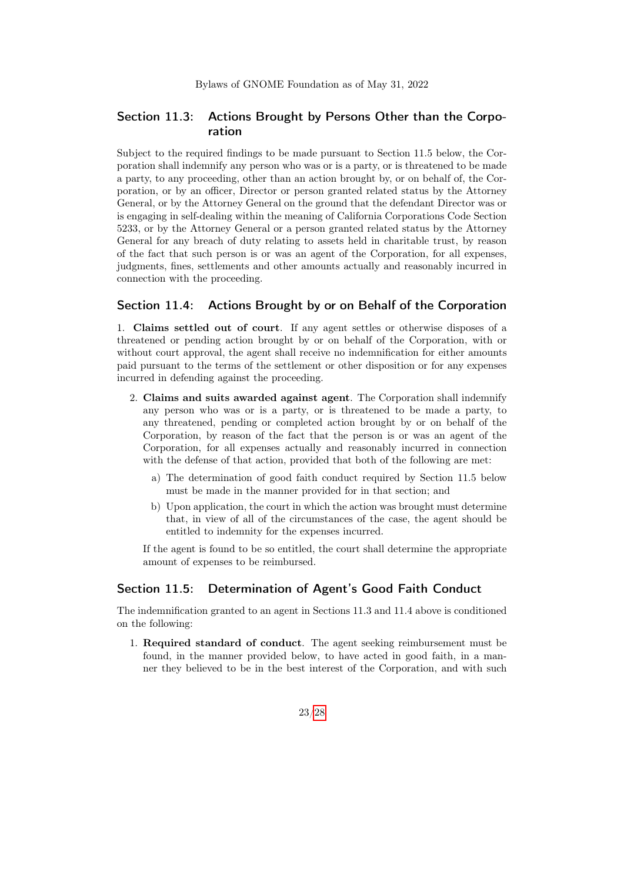### Section 11.3: Actions Brought by Persons Other than the Corporation

Subject to the required findings to be made pursuant to Section 11.5 below, the Corporation shall indemnify any person who was or is a party, or is threatened to be made a party, to any proceeding, other than an action brought by, or on behalf of, the Corporation, or by an officer, Director or person granted related status by the Attorney General, or by the Attorney General on the ground that the defendant Director was or is engaging in self-dealing within the meaning of California Corporations Code Section 5233, or by the Attorney General or a person granted related status by the Attorney General for any breach of duty relating to assets held in charitable trust, by reason of the fact that such person is or was an agent of the Corporation, for all expenses, judgments, fines, settlements and other amounts actually and reasonably incurred in connection with the proceeding.

#### <span id="page-22-0"></span>Section 11.4: Actions Brought by or on Behalf of the Corporation

1. Claims settled out of court. If any agent settles or otherwise disposes of a threatened or pending action brought by or on behalf of the Corporation, with or without court approval, the agent shall receive no indemnification for either amounts paid pursuant to the terms of the settlement or other disposition or for any expenses incurred in defending against the proceeding.

- 2. Claims and suits awarded against agent. The Corporation shall indemnify any person who was or is a party, or is threatened to be made a party, to any threatened, pending or completed action brought by or on behalf of the Corporation, by reason of the fact that the person is or was an agent of the Corporation, for all expenses actually and reasonably incurred in connection with the defense of that action, provided that both of the following are met:
	- a) The determination of good faith conduct required by Section 11.5 below must be made in the manner provided for in that section; and
	- b) Upon application, the court in which the action was brought must determine that, in view of all of the circumstances of the case, the agent should be entitled to indemnity for the expenses incurred.

If the agent is found to be so entitled, the court shall determine the appropriate amount of expenses to be reimbursed.

#### <span id="page-22-1"></span>Section 11.5: Determination of Agent's Good Faith Conduct

The indemnification granted to an agent in Sections 11.3 and 11.4 above is conditioned on the following:

1. Required standard of conduct. The agent seeking reimbursement must be found, in the manner provided below, to have acted in good faith, in a manner they believed to be in the best interest of the Corporation, and with such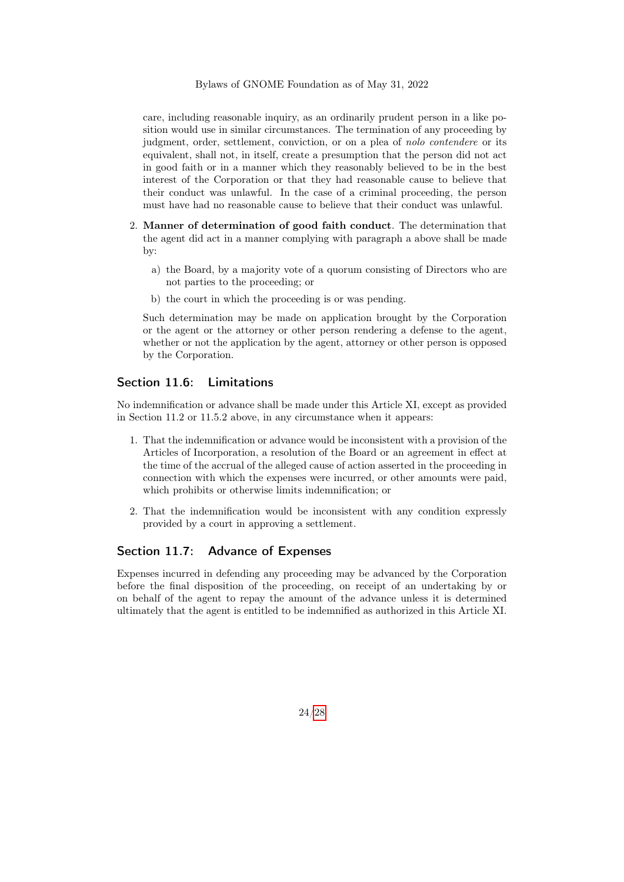care, including reasonable inquiry, as an ordinarily prudent person in a like position would use in similar circumstances. The termination of any proceeding by judgment, order, settlement, conviction, or on a plea of nolo contendere or its equivalent, shall not, in itself, create a presumption that the person did not act in good faith or in a manner which they reasonably believed to be in the best interest of the Corporation or that they had reasonable cause to believe that their conduct was unlawful. In the case of a criminal proceeding, the person must have had no reasonable cause to believe that their conduct was unlawful.

- 2. Manner of determination of good faith conduct. The determination that the agent did act in a manner complying with paragraph a above shall be made by:
	- a) the Board, by a majority vote of a quorum consisting of Directors who are not parties to the proceeding; or
	- b) the court in which the proceeding is or was pending.

Such determination may be made on application brought by the Corporation or the agent or the attorney or other person rendering a defense to the agent, whether or not the application by the agent, attorney or other person is opposed by the Corporation.

#### <span id="page-23-0"></span>Section 11.6: Limitations

No indemnification or advance shall be made under this Article XI, except as provided in Section 11.2 or 11.5.2 above, in any circumstance when it appears:

- 1. That the indemnification or advance would be inconsistent with a provision of the Articles of Incorporation, a resolution of the Board or an agreement in effect at the time of the accrual of the alleged cause of action asserted in the proceeding in connection with which the expenses were incurred, or other amounts were paid, which prohibits or otherwise limits indemnification; or
- 2. That the indemnification would be inconsistent with any condition expressly provided by a court in approving a settlement.

### <span id="page-23-1"></span>Section 11.7: Advance of Expenses

<span id="page-23-2"></span>Expenses incurred in defending any proceeding may be advanced by the Corporation before the final disposition of the proceeding, on receipt of an undertaking by or on behalf of the agent to repay the amount of the advance unless it is determined ultimately that the agent is entitled to be indemnified as authorized in this Article XI.

24[/28](#page-27-0)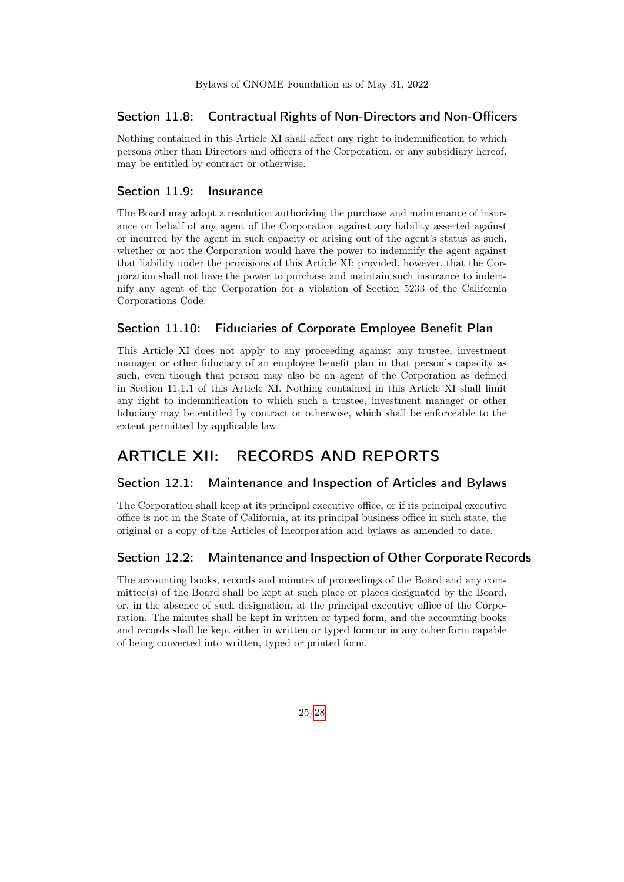#### Section 11.8: Contractual Rights of Non-Directors and Non-Officers

Nothing contained in this Article XI shall affect any right to indemnification to which persons other than Directors and officers of the Corporation, or any subsidiary hereof, may be entitled by contract or otherwise.

#### <span id="page-24-0"></span>Section 11.9: Insurance

The Board may adopt a resolution authorizing the purchase and maintenance of insurance on behalf of any agent of the Corporation against any liability asserted against or incurred by the agent in such capacity or arising out of the agent's status as such, whether or not the Corporation would have the power to indemnify the agent against that liability under the provisions of this Article XI; provided, however, that the Corporation shall not have the power to purchase and maintain such insurance to indemnify any agent of the Corporation for a violation of Section 5233 of the California Corporations Code.

### <span id="page-24-1"></span>Section 11.10: Fiduciaries of Corporate Employee Benefit Plan

This Article XI does not apply to any proceeding against any trustee, investment manager or other fiduciary of an employee benefit plan in that person's capacity as such, even though that person may also be an agent of the Corporation as defined in Section 11.1.1 of this Article XI. Nothing contained in this Article XI shall limit any right to indemnification to which such a trustee, investment manager or other fiduciary may be entitled by contract or otherwise, which shall be enforceable to the extent permitted by applicable law.

# <span id="page-24-2"></span>ARTICLE XII: RECORDS AND REPORTS

### <span id="page-24-3"></span>Section 12.1: Maintenance and Inspection of Articles and Bylaws

The Corporation shall keep at its principal executive office, or if its principal executive office is not in the State of California, at its principal business office in such state, the original or a copy of the Articles of Incorporation and bylaws as amended to date.

#### <span id="page-24-4"></span>Section 12.2: Maintenance and Inspection of Other Corporate Records

<span id="page-24-5"></span>The accounting books, records and minutes of proceedings of the Board and any committee(s) of the Board shall be kept at such place or places designated by the Board, or, in the absence of such designation, at the principal executive office of the Corporation. The minutes shall be kept in written or typed form, and the accounting books and records shall be kept either in written or typed form or in any other form capable of being converted into written, typed or printed form.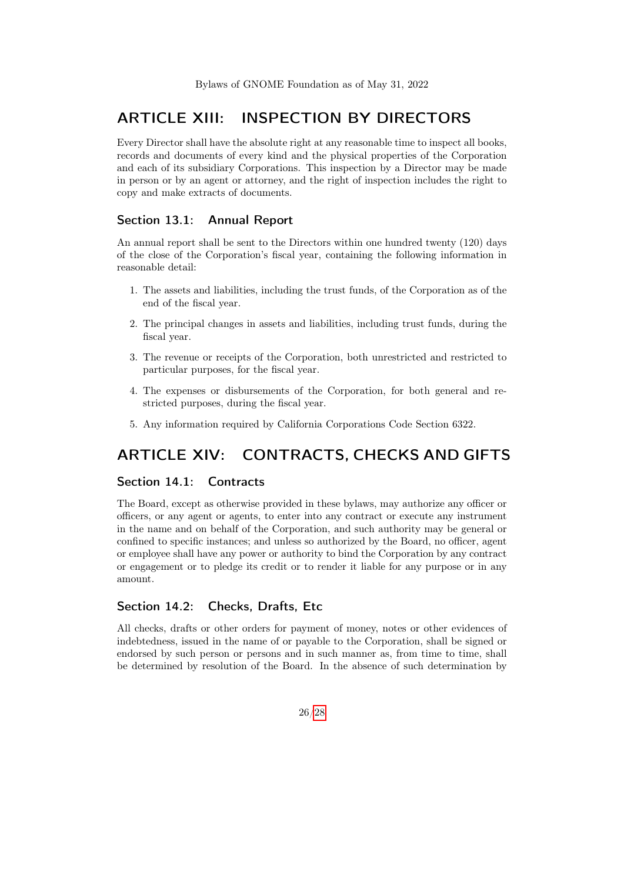# ARTICLE XIII: INSPECTION BY DIRECTORS

Every Director shall have the absolute right at any reasonable time to inspect all books, records and documents of every kind and the physical properties of the Corporation and each of its subsidiary Corporations. This inspection by a Director may be made in person or by an agent or attorney, and the right of inspection includes the right to copy and make extracts of documents.

#### <span id="page-25-0"></span>Section 13.1: Annual Report

An annual report shall be sent to the Directors within one hundred twenty (120) days of the close of the Corporation's fiscal year, containing the following information in reasonable detail:

- 1. The assets and liabilities, including the trust funds, of the Corporation as of the end of the fiscal year.
- 2. The principal changes in assets and liabilities, including trust funds, during the fiscal year.
- 3. The revenue or receipts of the Corporation, both unrestricted and restricted to particular purposes, for the fiscal year.
- 4. The expenses or disbursements of the Corporation, for both general and restricted purposes, during the fiscal year.
- 5. Any information required by California Corporations Code Section 6322.

# <span id="page-25-1"></span>ARTICLE XIV: CONTRACTS, CHECKS AND GIFTS

### <span id="page-25-2"></span>Section 14.1: Contracts

The Board, except as otherwise provided in these bylaws, may authorize any officer or officers, or any agent or agents, to enter into any contract or execute any instrument in the name and on behalf of the Corporation, and such authority may be general or confined to specific instances; and unless so authorized by the Board, no officer, agent or employee shall have any power or authority to bind the Corporation by any contract or engagement or to pledge its credit or to render it liable for any purpose or in any amount.

### <span id="page-25-3"></span>Section 14.2: Checks, Drafts, Etc.

All checks, drafts or other orders for payment of money, notes or other evidences of indebtedness, issued in the name of or payable to the Corporation, shall be signed or endorsed by such person or persons and in such manner as, from time to time, shall be determined by resolution of the Board. In the absence of such determination by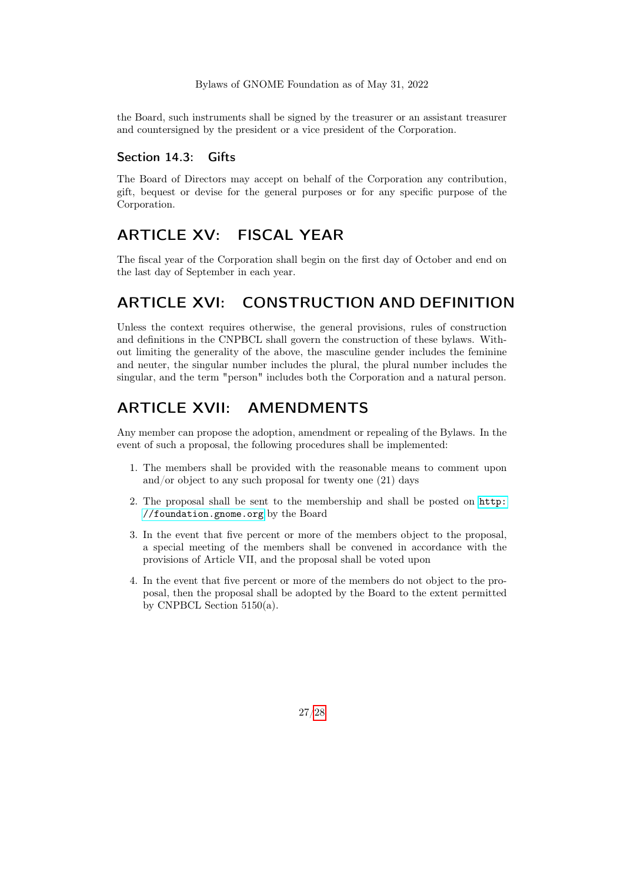the Board, such instruments shall be signed by the treasurer or an assistant treasurer and countersigned by the president or a vice president of the Corporation.

#### <span id="page-26-0"></span>Section 14.3: Gifts

The Board of Directors may accept on behalf of the Corporation any contribution, gift, bequest or devise for the general purposes or for any specific purpose of the Corporation.

# <span id="page-26-1"></span>ARTICLE XV: FISCAL YEAR

The fiscal year of the Corporation shall begin on the first day of October and end on the last day of September in each year.

# <span id="page-26-2"></span>ARTICLE XVI: CONSTRUCTION AND DEFINITION

Unless the context requires otherwise, the general provisions, rules of construction and definitions in the CNPBCL shall govern the construction of these bylaws. Without limiting the generality of the above, the masculine gender includes the feminine and neuter, the singular number includes the plural, the plural number includes the singular, and the term "person" includes both the Corporation and a natural person.

# <span id="page-26-3"></span>ARTICLE XVII: AMENDMENTS

Any member can propose the adoption, amendment or repealing of the Bylaws. In the event of such a proposal, the following procedures shall be implemented:

- 1. The members shall be provided with the reasonable means to comment upon and/or object to any such proposal for twenty one (21) days
- 2. The proposal shall be sent to the membership and shall be posted on [http:](http://foundation.gnome.org) [//foundation.gnome.org](http://foundation.gnome.org) by the Board
- 3. In the event that five percent or more of the members object to the proposal, a special meeting of the members shall be convened in accordance with the provisions of Article VII, and the proposal shall be voted upon
- <span id="page-26-4"></span>4. In the event that five percent or more of the members do not object to the proposal, then the proposal shall be adopted by the Board to the extent permitted by CNPBCL Section  $5150(a)$ .